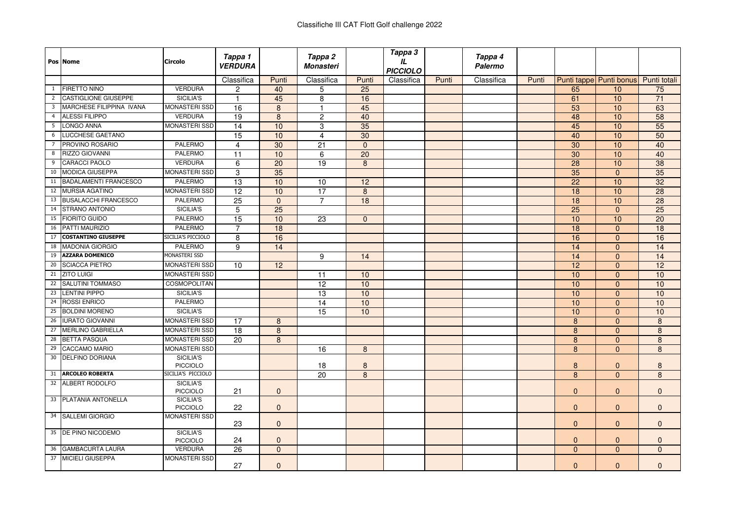|                | Pos Nome                     | Circolo                      | Tappa 1<br><b>VERDURA</b> |                 | Tappa 2<br><b>Monasteri</b> |                 | Tappa 3<br>IL<br>PICCIOLO |       | Tappa 4<br>Palermo |       |                 |                         |              |
|----------------|------------------------------|------------------------------|---------------------------|-----------------|-----------------------------|-----------------|---------------------------|-------|--------------------|-------|-----------------|-------------------------|--------------|
|                |                              |                              | Classifica                | Punti           | Classifica                  | Punti           | Classifica                | Punti | Classifica         | Punti |                 | Punti tappe Punti bonus | Punti totali |
| $\mathbf{1}$   | <b>FIRETTO NINO</b>          | <b>VERDURA</b>               | 2                         | 40              | 5                           | 25              |                           |       |                    |       | 65              | 10                      | 75           |
| $\overline{2}$ | <b>CASTIGLIONE GIUSEPPE</b>  | SICILIA'S                    | -1                        | 45              | 8                           | 16              |                           |       |                    |       | 61              | 10                      | 71           |
| 3              | MARCHESE FILIPPINA IVANA     | <b>MONASTERI SSD</b>         | 16                        | $\overline{8}$  | $\overline{1}$              | 45              |                           |       |                    |       | 53              | 10                      | 63           |
| $\overline{4}$ | <b>ALESSI FILIPPO</b>        | <b>VERDURA</b>               | $\overline{19}$           | 8               | $\overline{c}$              | 40              |                           |       |                    |       | 48              | 10                      | 58           |
| 5              | LONGO ANNA                   | <b>MONASTERI SSD</b>         | 14                        | 10              | 3                           | 35              |                           |       |                    |       | 45              | 10                      | 55           |
| 6              | LUCCHESE GAETANO             |                              | $\overline{15}$           | 10              | 4                           | $\overline{30}$ |                           |       |                    |       | 40              | 10                      | 50           |
|                | PROVINO ROSARIO              | <b>PALERMO</b>               | $\overline{4}$            | 30              | 21                          | $\Omega$        |                           |       |                    |       | 30              | 10                      | 40           |
| 8              | <b>RIZZO GIOVANNI</b>        | <b>PALERMO</b>               | $\overline{11}$           | 10              | 6                           | 20              |                           |       |                    |       | 30              | 10                      | 40           |
| 9              | <b>CARACCI PAOLO</b>         | <b>VERDURA</b>               | 6                         | 20              | 19                          | 8               |                           |       |                    |       | 28              | 10                      | 38           |
| 10             | <b>MODICA GIUSEPPA</b>       | <b>MONASTERI SSD</b>         | 3                         | 35              |                             |                 |                           |       |                    |       | 35              | $\Omega$                | 35           |
| 11             | <b>BADALAMENTI FRANCESCO</b> | <b>PALERMO</b>               | 13                        | 10              | 10                          | 12              |                           |       |                    |       | $\overline{22}$ | 10                      | 32           |
| 12             | <b>MURSIA AGATINO</b>        | <b>MONASTERISSD</b>          | $\overline{12}$           | 10              | 17                          | $\overline{8}$  |                           |       |                    |       | 18              | 10                      | 28           |
| 13             | <b>BUSALACCHI FRANCESCO</b>  | <b>PALERMO</b>               | 25                        | $\mathbf{0}$    | $\overline{7}$              | 18              |                           |       |                    |       | 18              | 10                      | 28           |
| 14             | STRANO ANTONIO               | SICILIA'S                    | $\overline{5}$            | 25              |                             |                 |                           |       |                    |       | $\overline{25}$ | $\mathbf{0}$            | 25           |
| 15             | <b>FIORITO GUIDO</b>         | <b>PALERMO</b>               | 15                        | 10              | 23                          | $\mathbf{0}$    |                           |       |                    |       | 10              | 10                      | 20           |
| 16             | PATTI MAURIZIO               | <b>PALERMO</b>               | $\overline{7}$            | 18              |                             |                 |                           |       |                    |       | 18              | $\Omega$                | 18           |
| 17             | <b>COSTANTINO GIUSEPPE</b>   | SICILIA'S PICCIOLO           | $\overline{8}$            | 16              |                             |                 |                           |       |                    |       | 16              | $\Omega$                | 16           |
| 18             | <b>MADONIA GIORGIO</b>       | <b>PALERMO</b>               | 9                         | 14              |                             |                 |                           |       |                    |       | 14              | $\Omega$                | 14           |
| 19             | <b>AZZARA DOMENICO</b>       | MONASTERI SSD                |                           |                 | 9                           | 14              |                           |       |                    |       | 14              | $\mathbf{0}$            | 14           |
| 20             | <b>SCIACCA PIETRO</b>        | <b>MONASTERI SSD</b>         | 10                        | $\overline{12}$ |                             |                 |                           |       |                    |       | 12              | $\Omega$                | 12           |
|                | 21 ZITO LUIGI                | <b>MONASTERI SSD</b>         |                           |                 | 11                          | 10              |                           |       |                    |       | 10              | $\Omega$                | 10           |
| 22             | <b>SALUTINI TOMMASO</b>      | <b>COSMOPOLITAN</b>          |                           |                 | 12                          | 10              |                           |       |                    |       | 10              | $\Omega$                | 10           |
| 23             | LENTINI PIPPO                | SICILIA'S                    |                           |                 | 13                          | 10              |                           |       |                    |       | 10              | $\Omega$                | 10           |
| 24             | <b>ROSSI ENRICO</b>          | <b>PALERMO</b>               |                           |                 | $\overline{14}$             | 10              |                           |       |                    |       | 10              | $\Omega$                | 10           |
| 25             | <b>BOLDINI MORENO</b>        | SICILIA'S                    |                           |                 | 15                          | 10              |                           |       |                    |       | 10              | $\Omega$                | 10           |
| 26             | <b>IURATO GIOVANNI</b>       | <b>MONASTERI SSD</b>         | 17                        | 8               |                             |                 |                           |       |                    |       | 8               | $\Omega$                | 8            |
| 27             | <b>MERLINO GABRIELLA</b>     | <b>MONASTERI SSD</b>         | 18                        | 8               |                             |                 |                           |       |                    |       | $\bf 8$         | $\Omega$                | $\bf 8$      |
| 28             | <b>BETTA PASQUA</b>          | <b>MONASTERI SSD</b>         | $\overline{20}$           | 8               |                             |                 |                           |       |                    |       | 8               | $\mathbf{0}$            | $\bf 8$      |
| 29             | <b>CACCAMO MARIO</b>         | <b>MONASTERISSD</b>          |                           |                 | 16                          | $\bf 8$         |                           |       |                    |       | 8               | $\mathbf{0}$            | 8            |
| 30             | <b>DELFINO DORIANA</b>       | SICILIA'S<br>PICCIOLO        |                           |                 | 18                          | 8               |                           |       |                    |       | 8               | $\Omega$                | 8            |
| 31             | <b>ARCOLEO ROBERTA</b>       | SICILIA'S PICCIOLO           |                           |                 | 20                          | 8               |                           |       |                    |       | 8               | $\Omega$                | 8            |
|                | 32 ALBERT RODOLFO            | <b>SICILIA'S</b><br>PICCIOLO | 21                        | $\mathbf{0}$    |                             |                 |                           |       |                    |       | $\mathbf{0}$    | $\mathbf{0}$            | $\mathbf{0}$ |
| 33             | PLATANIA ANTONELLA           | SICILIA'S<br>PICCIOLO        | 22                        | $\mathbf{0}$    |                             |                 |                           |       |                    |       | $\mathbf{0}$    | $\mathbf{0}$            | $\mathbf{0}$ |
|                | 34 SALLEMI GIORGIO           | <b>MONASTERI SSD</b>         | 23                        | $\mathbf{0}$    |                             |                 |                           |       |                    |       | $\mathbf{0}$    | $\mathbf{0}$            | $\mathbf{0}$ |
|                | 35 DE PINO NICODEMO          | SICILIA'S<br><b>PICCIOLO</b> | 24                        | $\mathbf{0}$    |                             |                 |                           |       |                    |       | $\mathbf{0}$    | $\mathbf 0$             | $\mathbf{0}$ |
| 36             | <b>GAMBACURTA LAURA</b>      | <b>VERDURA</b>               | 26                        | $\Omega$        |                             |                 |                           |       |                    |       | $\Omega$        | $\Omega$                | $\Omega$     |
| 37             | <b>MICIELI GIUSEPPA</b>      | <b>MONASTERISSD</b>          | 27                        | $\mathbf{0}$    |                             |                 |                           |       |                    |       | $\mathbf{0}$    | $\mathbf{0}$            | $\mathbf{0}$ |